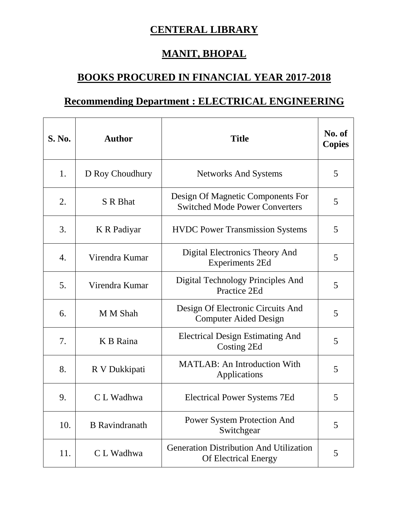## **CENTERAL LIBRARY**

## **MANIT, BHOPAL**

## **BOOKS PROCURED IN FINANCIAL YEAR 2017-2018**

## **Recommending Department : ELECTRICAL ENGINEERING**

| <b>S. No.</b> | <b>Author</b>         | <b>Title</b>                                                                  | No. of<br><b>Copies</b> |
|---------------|-----------------------|-------------------------------------------------------------------------------|-------------------------|
| 1.            | D Roy Choudhury       | <b>Networks And Systems</b>                                                   | 5                       |
| 2.            | S R Bhat              | Design Of Magnetic Components For<br><b>Switched Mode Power Converters</b>    | 5                       |
| 3.            | K R Padiyar           | <b>HVDC</b> Power Transmission Systems                                        | 5                       |
| 4.            | Virendra Kumar        | Digital Electronics Theory And<br><b>Experiments 2Ed</b>                      | 5                       |
| 5.            | Virendra Kumar        | Digital Technology Principles And<br>Practice 2Ed                             | 5                       |
| 6.            | M M Shah              | Design Of Electronic Circuits And<br><b>Computer Aided Design</b>             | 5                       |
| 7.            | K B Raina             | <b>Electrical Design Estimating And</b><br>Costing 2Ed                        | 5                       |
| 8.            | R V Dukkipati         | <b>MATLAB: An Introduction With</b><br>Applications                           | 5                       |
| 9.            | C L Wadhwa            | <b>Electrical Power Systems 7Ed</b>                                           | 5                       |
| 10.           | <b>B</b> Ravindranath | <b>Power System Protection And</b><br>Switchgear                              | 5                       |
| 11.           | C L Wadhwa            | <b>Generation Distribution And Utilization</b><br><b>Of Electrical Energy</b> | 5                       |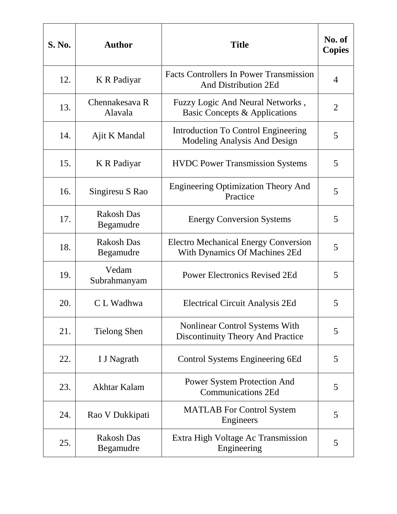| <b>S. No.</b> | <b>Author</b>                  | <b>Title</b>                                                                      | No. of<br><b>Copies</b> |
|---------------|--------------------------------|-----------------------------------------------------------------------------------|-------------------------|
| 12.           | K R Padiyar                    | <b>Facts Controllers In Power Transmission</b><br><b>And Distribution 2Ed</b>     | 4                       |
| 13.           | Chennakesava R<br>Alavala      | Fuzzy Logic And Neural Networks,<br>Basic Concepts & Applications                 | 2                       |
| 14.           | Ajit K Mandal                  | Introduction To Control Engineering<br>Modeling Analysis And Design               | 5                       |
| 15.           | K R Padiyar                    | <b>HVDC</b> Power Transmission Systems                                            | 5                       |
| 16.           | Singiresu S Rao                | <b>Engineering Optimization Theory And</b><br>Practice                            | 5                       |
| 17.           | <b>Rakosh Das</b><br>Begamudre | <b>Energy Conversion Systems</b>                                                  | 5                       |
| 18.           | <b>Rakosh Das</b><br>Begamudre | <b>Electro Mechanical Energy Conversion</b><br>With Dynamics Of Machines 2Ed      | 5                       |
| 19.           | Vedam<br>Subrahmanyam          | <b>Power Electronics Revised 2Ed</b>                                              | 5                       |
| 20.           | C L Wadhwa                     | Electrical Circuit Analysis 2Ed                                                   | 5                       |
| 21.           | <b>Tielong Shen</b>            | <b>Nonlinear Control Systems With</b><br><b>Discontinuity Theory And Practice</b> | 5                       |
| 22.           | I J Nagrath                    | Control Systems Engineering 6Ed                                                   | 5                       |
| 23.           | Akhtar Kalam                   | <b>Power System Protection And</b><br><b>Communications 2Ed</b>                   | 5                       |
| 24.           | Rao V Dukkipati                | <b>MATLAB</b> For Control System<br>Engineers                                     | 5                       |
| 25.           | <b>Rakosh Das</b><br>Begamudre | Extra High Voltage Ac Transmission<br>Engineering                                 | 5                       |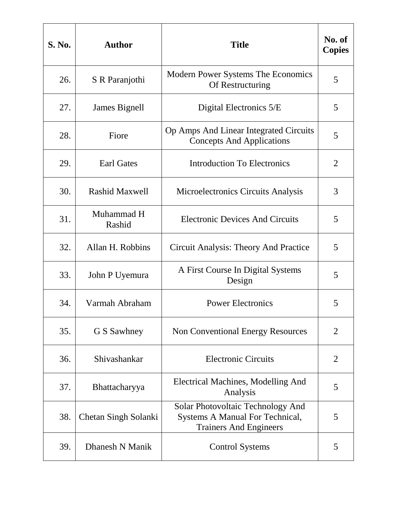| <b>S. No.</b> | <b>Author</b>         | <b>Title</b>                                                                                          | No. of<br><b>Copies</b> |
|---------------|-----------------------|-------------------------------------------------------------------------------------------------------|-------------------------|
| 26.           | S R Paranjothi        | Modern Power Systems The Economics<br>Of Restructuring                                                | 5                       |
| 27.           | James Bignell         | Digital Electronics 5/E                                                                               | 5                       |
| 28.           | Fiore                 | Op Amps And Linear Integrated Circuits<br><b>Concepts And Applications</b>                            | 5                       |
| 29.           | <b>Earl Gates</b>     | <b>Introduction To Electronics</b>                                                                    | $\overline{2}$          |
| 30.           | <b>Rashid Maxwell</b> | Microelectronics Circuits Analysis                                                                    | 3                       |
| 31.           | Muhammad H<br>Rashid  | <b>Electronic Devices And Circuits</b>                                                                | 5                       |
| 32.           | Allan H. Robbins      | Circuit Analysis: Theory And Practice                                                                 | 5                       |
| 33.           | John P Uyemura        | A First Course In Digital Systems<br>Design                                                           | 5                       |
| 34.           | Varmah Abraham        | <b>Power Electronics</b>                                                                              | 5                       |
| 35.           | G S Sawhney           | <b>Non Conventional Energy Resources</b>                                                              | $\overline{2}$          |
| 36.           | Shivashankar          | <b>Electronic Circuits</b>                                                                            | $\overline{2}$          |
| 37.           | Bhattacharyya         | Electrical Machines, Modelling And<br>Analysis                                                        | 5                       |
| 38.           | Chetan Singh Solanki  | Solar Photovoltaic Technology And<br>Systems A Manual For Technical,<br><b>Trainers And Engineers</b> | 5                       |
| 39.           | Dhanesh N Manik       | <b>Control Systems</b>                                                                                | 5                       |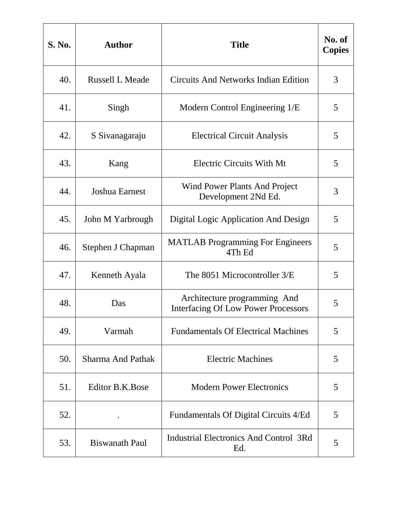| S. No. | <b>Author</b>            | <b>Title</b>                                                               | No. of<br><b>Copies</b> |
|--------|--------------------------|----------------------------------------------------------------------------|-------------------------|
| 40.    | <b>Russell L Meade</b>   | <b>Circuits And Networks Indian Edition</b>                                | 3                       |
| 41.    | Singh                    | Modern Control Engineering 1/E                                             | 5                       |
| 42.    | S Sivanagaraju           | <b>Electrical Circuit Analysis</b>                                         | 5                       |
| 43.    | Kang                     | <b>Electric Circuits With Mt</b>                                           | 5                       |
| 44.    | <b>Joshua Earnest</b>    | <b>Wind Power Plants And Project</b><br>Development 2Nd Ed.                | 3                       |
| 45.    | John M Yarbrough         | Digital Logic Application And Design                                       | 5                       |
| 46.    | Stephen J Chapman        | <b>MATLAB Programming For Engineers</b><br>4Th Ed                          | 5                       |
| 47.    | Kenneth Ayala            | The 8051 Microcontroller 3/E                                               | 5                       |
| 48.    | Das                      | Architecture programming And<br><b>Interfacing Of Low Power Processors</b> | 5                       |
| 49.    | Varmah                   | <b>Fundamentals Of Electrical Machines</b>                                 | 5                       |
| 50.    | <b>Sharma And Pathak</b> | <b>Electric Machines</b>                                                   | 5                       |
| 51.    | <b>Editor B.K.Bose</b>   | <b>Modern Power Electronics</b>                                            | 5                       |
| 52.    |                          | Fundamentals Of Digital Circuits 4/Ed                                      | 5                       |
| 53.    | <b>Biswanath Paul</b>    | Industrial Electronics And Control 3Rd<br>Ed.                              | 5                       |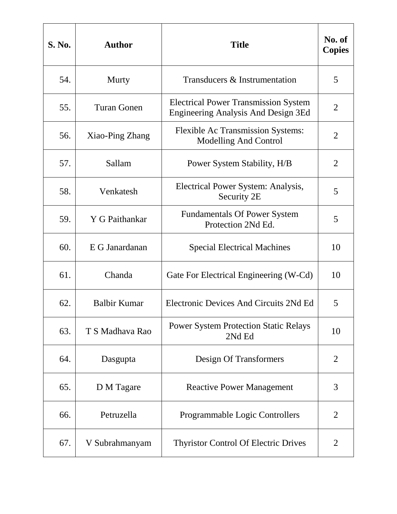| <b>S. No.</b> | <b>Author</b>       | <b>Title</b>                                                                       | No. of<br><b>Copies</b> |
|---------------|---------------------|------------------------------------------------------------------------------------|-------------------------|
| 54.           | Murty               | Transducers & Instrumentation                                                      | 5                       |
| 55.           | <b>Turan Gonen</b>  | <b>Electrical Power Transmission System</b><br>Engineering Analysis And Design 3Ed | 2                       |
| 56.           | Xiao-Ping Zhang     | <b>Flexible Ac Transmission Systems:</b><br><b>Modelling And Control</b>           | $\overline{2}$          |
| 57.           | Sallam              | Power System Stability, H/B                                                        | $\overline{2}$          |
| 58.           | Venkatesh           | Electrical Power System: Analysis,<br>Security 2E                                  | 5                       |
| 59.           | Y G Paithankar      | <b>Fundamentals Of Power System</b><br>Protection 2Nd Ed.                          | 5                       |
| 60.           | E G Janardanan      | <b>Special Electrical Machines</b>                                                 | 10                      |
| 61.           | Chanda              | Gate For Electrical Engineering (W-Cd)                                             | 10                      |
| 62.           | <b>Balbir Kumar</b> | Electronic Devices And Circuits 2Nd Ed                                             | 5                       |
| 63.           | T S Madhava Rao     | <b>Power System Protection Static Relays</b><br>2Nd Ed                             | 10                      |
| 64.           | Dasgupta            | Design Of Transformers                                                             | $\overline{2}$          |
| 65.           | D M Tagare          | <b>Reactive Power Management</b>                                                   | 3                       |
| 66.           | Petruzella          | <b>Programmable Logic Controllers</b>                                              | 2                       |
| 67.           | V Subrahmanyam      | <b>Thyristor Control Of Electric Drives</b>                                        | $\overline{2}$          |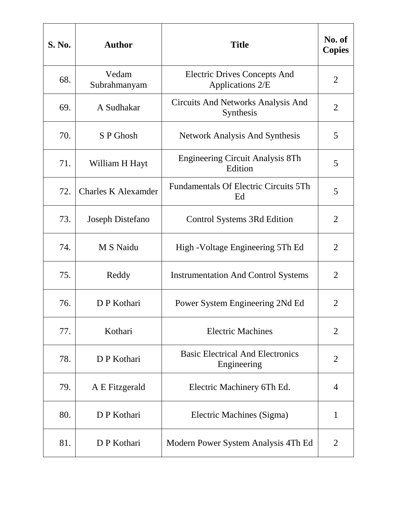| <b>S. No.</b> | <b>Author</b>              | <b>Title</b>                                            | No. of<br><b>Copies</b> |
|---------------|----------------------------|---------------------------------------------------------|-------------------------|
| 68.           | Vedam<br>Subrahmanyam      | <b>Electric Drives Concepts And</b><br>Applications 2/E | $\overline{2}$          |
| 69.           | A Sudhakar                 | Circuits And Networks Analysis And<br>Synthesis         | 2                       |
| 70.           | S P Ghosh                  | <b>Network Analysis And Synthesis</b>                   | 5                       |
| 71.           | William H Hayt             | Engineering Circuit Analysis 8Th<br>Edition             | 5                       |
| 72.           | <b>Charles K Alexamder</b> | <b>Fundamentals Of Electric Circuits 5Th</b><br>Ed      | 5                       |
| 73.           | Joseph Distefano           | Control Systems 3Rd Edition                             | $\overline{2}$          |
| 74.           | M S Naidu                  | High - Voltage Engineering 5Th Ed                       | $\overline{2}$          |
| 75.           | Reddy                      | <b>Instrumentation And Control Systems</b>              | $\overline{2}$          |
| 76.           | D P Kothari                | Power System Engineering 2Nd Ed                         | $\overline{2}$          |
| 77.           | Kothari                    | <b>Electric Machines</b>                                | $\overline{2}$          |
| 78.           | D P Kothari                | <b>Basic Electrical And Electronics</b><br>Engineering  | $\overline{2}$          |
| 79.           | A E Fitzgerald             | Electric Machinery 6Th Ed.                              | 4                       |
| 80.           | D P Kothari                | Electric Machines (Sigma)                               | 1                       |
| 81.           | D P Kothari                | Modern Power System Analysis 4Th Ed                     | $\overline{2}$          |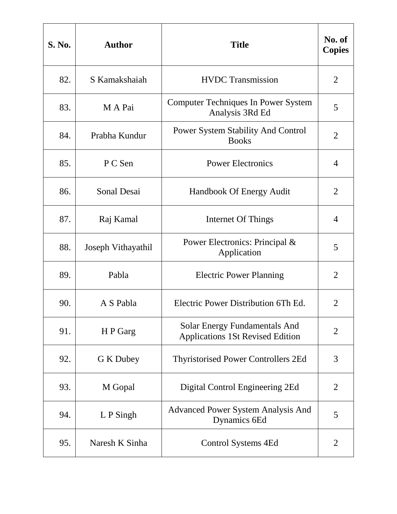| <b>S. No.</b> | <b>Author</b>      | <b>Title</b>                                                                    | No. of<br><b>Copies</b> |
|---------------|--------------------|---------------------------------------------------------------------------------|-------------------------|
| 82.           | S Kamakshaiah      | <b>HVDC</b> Transmission                                                        | $\overline{2}$          |
| 83.           | M A Pai            | <b>Computer Techniques In Power System</b><br>Analysis 3Rd Ed                   | 5                       |
| 84.           | Prabha Kundur      | <b>Power System Stability And Control</b><br><b>Books</b>                       | $\overline{2}$          |
| 85.           | P C Sen            | <b>Power Electronics</b>                                                        | 4                       |
| 86.           | Sonal Desai        | Handbook Of Energy Audit                                                        | $\overline{2}$          |
| 87.           | Raj Kamal          | Internet Of Things                                                              | 4                       |
| 88.           | Joseph Vithayathil | Power Electronics: Principal &<br>Application                                   | 5                       |
| 89.           | Pabla              | <b>Electric Power Planning</b>                                                  | $\overline{2}$          |
| 90.           | A S Pabla          | Electric Power Distribution 6Th Ed.                                             | 2                       |
| 91.           | H P Garg           | <b>Solar Energy Fundamentals And</b><br><b>Applications 1St Revised Edition</b> | $\overline{2}$          |
| 92.           | G K Dubey          | <b>Thyristorised Power Controllers 2Ed</b>                                      | 3                       |
| 93.           | M Gopal            | Digital Control Engineering 2Ed                                                 | $\overline{2}$          |
| 94.           | $L P$ Singh        | <b>Advanced Power System Analysis And</b><br>Dynamics 6Ed                       | 5                       |
| 95.           | Naresh K Sinha     | Control Systems 4Ed                                                             | 2                       |